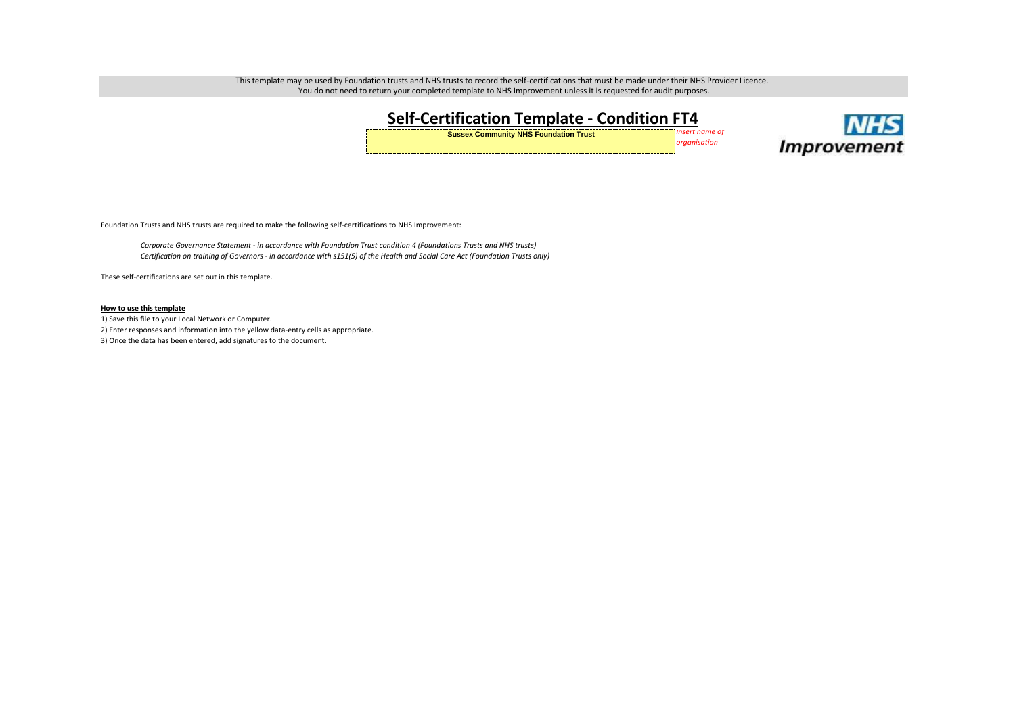This template may be used by Foundation trusts and NHS trusts to record the self-certifications that must be made under their NHS Provider Licence. You do not need to return your completed template to NHS Improvement unless it is requested for audit purposes.

## **Self-Certification Template - Condition FT4 Sussex Community NHS Foundation Trust** *Insert name of*

*organisation*



Foundation Trusts and NHS trusts are required to make the following self-certifications to NHS Improvement:

*Corporate Governance Statement - in accordance with Foundation Trust condition 4 (Foundations Trusts and NHS trusts) Certification on training of Governors - in accordance with s151(5) of the Health and Social Care Act (Foundation Trusts only)*

These self-certifications are set out in this template.

## **How to use this template**

1) Save this file to your Local Network or Computer. 2) Enter responses and information into the yellow data-entry cells as appropriate. 3) Once the data has been entered, add signatures to the document.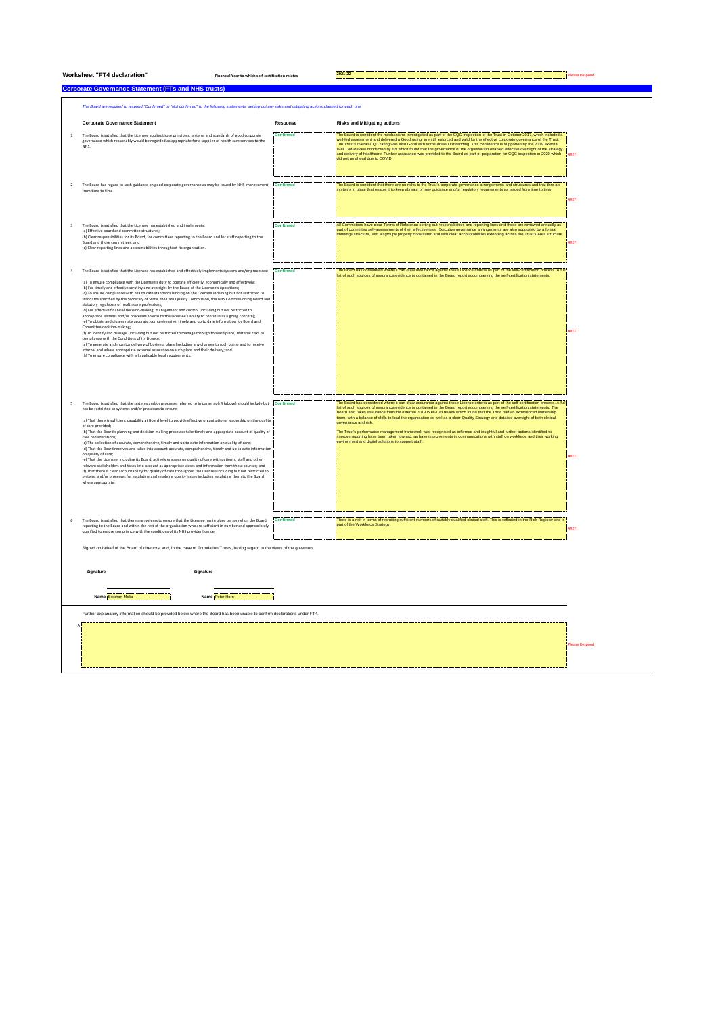|                                                                                                                                                                 | <b>Worksheet "FT4 declaration"</b><br>Financial Year to which self-certification relates                                                                                                                                                                                                                                                                                                                                                                                                                                                                                                                                                                                                                                                                                                                                                                                                                                                                                                                                                                                                                                                                                                                                                                                                                                                                                                                             |                  | 2021-22                                                                                                                                                                                                                                                                                                                                                                                                                                                                                                                                                                                                                                                                                                                                                                    | lease Respond |  |  |  |  |
|-----------------------------------------------------------------------------------------------------------------------------------------------------------------|----------------------------------------------------------------------------------------------------------------------------------------------------------------------------------------------------------------------------------------------------------------------------------------------------------------------------------------------------------------------------------------------------------------------------------------------------------------------------------------------------------------------------------------------------------------------------------------------------------------------------------------------------------------------------------------------------------------------------------------------------------------------------------------------------------------------------------------------------------------------------------------------------------------------------------------------------------------------------------------------------------------------------------------------------------------------------------------------------------------------------------------------------------------------------------------------------------------------------------------------------------------------------------------------------------------------------------------------------------------------------------------------------------------------|------------------|----------------------------------------------------------------------------------------------------------------------------------------------------------------------------------------------------------------------------------------------------------------------------------------------------------------------------------------------------------------------------------------------------------------------------------------------------------------------------------------------------------------------------------------------------------------------------------------------------------------------------------------------------------------------------------------------------------------------------------------------------------------------------|---------------|--|--|--|--|
| <b>Corporate Governance Statement (FTs and NHS trusts)</b>                                                                                                      |                                                                                                                                                                                                                                                                                                                                                                                                                                                                                                                                                                                                                                                                                                                                                                                                                                                                                                                                                                                                                                                                                                                                                                                                                                                                                                                                                                                                                      |                  |                                                                                                                                                                                                                                                                                                                                                                                                                                                                                                                                                                                                                                                                                                                                                                            |               |  |  |  |  |
| The Board are required to respond "Confirmed" or "Not confirmed" to the following statements, setting out any risks and mitigating actions planned for each one |                                                                                                                                                                                                                                                                                                                                                                                                                                                                                                                                                                                                                                                                                                                                                                                                                                                                                                                                                                                                                                                                                                                                                                                                                                                                                                                                                                                                                      |                  |                                                                                                                                                                                                                                                                                                                                                                                                                                                                                                                                                                                                                                                                                                                                                                            |               |  |  |  |  |
|                                                                                                                                                                 | <b>Corporate Governance Statement</b>                                                                                                                                                                                                                                                                                                                                                                                                                                                                                                                                                                                                                                                                                                                                                                                                                                                                                                                                                                                                                                                                                                                                                                                                                                                                                                                                                                                | Response         | <b>Risks and Mitigating actions</b>                                                                                                                                                                                                                                                                                                                                                                                                                                                                                                                                                                                                                                                                                                                                        |               |  |  |  |  |
| $\mathbf{1}$                                                                                                                                                    | The Board is satisfied that the Licensee applies those principles, systems and standards of good corporate<br>governance which reasonably would be regarded as appropriate for a supplier of health care services to the<br>NHS.                                                                                                                                                                                                                                                                                                                                                                                                                                                                                                                                                                                                                                                                                                                                                                                                                                                                                                                                                                                                                                                                                                                                                                                     | <b>Confirmed</b> | The Board is confident the mechanisms investigated as part of the CQC inspection of the Trust in October 2017, which included a<br>included assessment and delivered a Good rating, are still enforced and valid for the effective corporate governance of the Trust.<br>The Trust's overall CQC rating was also Good with some areas Outstanding. This confidence i<br>Well Led Review conducted by EY which found that the governance of the organisation enabled effective oversight of the strategy<br>From Each restrict to the assurance was provided to the Board as part of preparation for CQC inspection in 2020 which<br>and delivery of healthcare. Further assurance was provided to the Board as part of preparation for CQC i                               | <b>IRFFI</b>  |  |  |  |  |
| $\overline{2}$                                                                                                                                                  | The Board has regard to such guidance on good corporate governance as may be issued by NHS Improvement<br>from time to time                                                                                                                                                                                                                                                                                                                                                                                                                                                                                                                                                                                                                                                                                                                                                                                                                                                                                                                                                                                                                                                                                                                                                                                                                                                                                          | <b>Confirmed</b> | The Board is confident that there are no risks to the Trust's corporate governance arrangements and structures and that thre are<br>systems in place that enable it to keep abreast of new guidance and/or regulatory requirements as issued from time to time.                                                                                                                                                                                                                                                                                                                                                                                                                                                                                                            | <b>IREF!</b>  |  |  |  |  |
| $\overline{\mathsf{3}}$                                                                                                                                         | The Board is satisfied that the Licensee has established and implements:<br>(a) Effective board and committee structures;<br>(b) Clear responsibilities for its Board, for committees reporting to the Board and for staff reporting to the<br>Board and those committees: and<br>(c) Clear reporting lines and accountabilities throughout its organisation.                                                                                                                                                                                                                                                                                                                                                                                                                                                                                                                                                                                                                                                                                                                                                                                                                                                                                                                                                                                                                                                        | Confirmed        | Il Committees have clear Terms of Reference setting out responsibilities and reporting lines and these are reviewed annually as<br>bart of committee self-assessments of their effectiveness. Executive governance arrangements are also supported by a formal<br>neetings structure, with all groups properly constituted and with clear accountabilities extending across the Trust's Area structure.                                                                                                                                                                                                                                                                                                                                                                    | REFI          |  |  |  |  |
| $\overline{a}$                                                                                                                                                  | The Board is satisfied that the Licensee has established and effectively implements systems and/or processes:<br>(a) To ensure compliance with the Licensee's duty to operate efficiently, economically and effectively;<br>(b) For timely and effective scrutiny and oversight by the Board of the Licensee's operations<br>(c) To ensure compliance with health care standards binding on the Licensee including but not restricted to<br>standards specified by the Secretary of State, the Care Quality Commission, the NHS Commissioning Board and<br>statutory regulators of health care professions;<br>(d) For effective financial decision-making, management and control (including but not restricted to<br>appropriate systems and/or processes to ensure the Licensee's ability to continue as a going concern);<br>(e) To obtain and disseminate accurate, comprehensive, timely and up to date information for Board and<br>Committee decision-making;<br>(f) To identify and manage (including but not restricted to manage through forward plans) material risks to<br>compliance with the Conditions of its Licence;<br>(g) To generate and monitor delivery of business plans (including any changes to such plans) and to receive<br>internal and where appropriate external assurance on such plans and their delivery; and<br>(h) To ensure compliance with all applicable legal requirements. | <b>Confirmed</b> | The Board has considered where it can draw assurance against these Licence criteria as part of the self-certification process. A full<br>ist of such sources of assurance/evidence is contained in the Board report accompanying the self-certification statements                                                                                                                                                                                                                                                                                                                                                                                                                                                                                                         | REFI          |  |  |  |  |
| 5                                                                                                                                                               | The Board is satisfied that the systems and/or processes referred to in paragraph 4 (above) should include but Confirmed<br>not be restricted to systems and/or processes to ensure:<br>(a) That there is sufficient capability at Board level to provide effective organisational leadership on the quality<br>of care provided;<br>(b) That the Board's planning and decision-making processes take timely and appropriate account of quality of<br>care considerations:<br>(c) The collection of accurate, comprehensive, timely and up to date information on quality of care;<br>(d) That the Board receives and takes into account accurate, comprehensive, timely and up to date information<br>on quality of care:<br>(e) That the Licensee, including its Board, actively engages on quality of care with patients, staff and other<br>relevant stakeholders and takes into account as appropriate views and information from these sources; and<br>(f) That there is clear accountability for quality of care throughout the Licensee including but not restricted to<br>systems and/or processes for escalating and resolving quality issues including escalating them to the Board<br>where appropriate.                                                                                                                                                                                                 |                  | he Board has considered where it can draw assurance against these Licence criteria as part of the self-certification process. A fu<br>ist of such sources of assurance/evidence is contained in the Board report accompanying the self-certification statements. The<br>Board also takes assurance from the external 2019 Well-Led review which found that the Trust ha<br>team, with a balance of skills to lead the organisation as well as a clear Quality Strategy and detailed oversight of both clinical<br>nivernance and risk<br>The Trust's performance management framework was recognised as informed and insightful and further actions identified to<br>improve reporting have been taken forward, as have improvements in communications with staff on workf | <b>IREF!</b>  |  |  |  |  |
|                                                                                                                                                                 | The Board is satisfied that there are systems to ensure that the Licensee has in place personnel on the Board,<br>reporting to the Board and within the rest of the organisation who are sufficient in number and appropriately<br>qualified to ensure compliance with the conditions of its NHS provider licence.                                                                                                                                                                                                                                                                                                                                                                                                                                                                                                                                                                                                                                                                                                                                                                                                                                                                                                                                                                                                                                                                                                   | Confirmed        | .<br>There is a risk in terms of recruiting sufficient numbers of suitably qualified clinical staff. This is reflected in the Risk Register and is<br>part of the Workforce Strategy.                                                                                                                                                                                                                                                                                                                                                                                                                                                                                                                                                                                      | <b>IREF!</b>  |  |  |  |  |
|                                                                                                                                                                 | Signed on behalf of the Board of directors, and, in the case of Foundation Trusts, having regard to the views of the governors                                                                                                                                                                                                                                                                                                                                                                                                                                                                                                                                                                                                                                                                                                                                                                                                                                                                                                                                                                                                                                                                                                                                                                                                                                                                                       |                  |                                                                                                                                                                                                                                                                                                                                                                                                                                                                                                                                                                                                                                                                                                                                                                            |               |  |  |  |  |
|                                                                                                                                                                 | Signature<br>Signature                                                                                                                                                                                                                                                                                                                                                                                                                                                                                                                                                                                                                                                                                                                                                                                                                                                                                                                                                                                                                                                                                                                                                                                                                                                                                                                                                                                               |                  |                                                                                                                                                                                                                                                                                                                                                                                                                                                                                                                                                                                                                                                                                                                                                                            |               |  |  |  |  |
|                                                                                                                                                                 | Name Siobhan Melia<br>Name Peter Horn                                                                                                                                                                                                                                                                                                                                                                                                                                                                                                                                                                                                                                                                                                                                                                                                                                                                                                                                                                                                                                                                                                                                                                                                                                                                                                                                                                                |                  |                                                                                                                                                                                                                                                                                                                                                                                                                                                                                                                                                                                                                                                                                                                                                                            |               |  |  |  |  |
|                                                                                                                                                                 |                                                                                                                                                                                                                                                                                                                                                                                                                                                                                                                                                                                                                                                                                                                                                                                                                                                                                                                                                                                                                                                                                                                                                                                                                                                                                                                                                                                                                      |                  |                                                                                                                                                                                                                                                                                                                                                                                                                                                                                                                                                                                                                                                                                                                                                                            |               |  |  |  |  |
|                                                                                                                                                                 | Further explanatory information should be provided below where the Board has been unable to confirm declarations under FT4.                                                                                                                                                                                                                                                                                                                                                                                                                                                                                                                                                                                                                                                                                                                                                                                                                                                                                                                                                                                                                                                                                                                                                                                                                                                                                          |                  |                                                                                                                                                                                                                                                                                                                                                                                                                                                                                                                                                                                                                                                                                                                                                                            |               |  |  |  |  |
|                                                                                                                                                                 |                                                                                                                                                                                                                                                                                                                                                                                                                                                                                                                                                                                                                                                                                                                                                                                                                                                                                                                                                                                                                                                                                                                                                                                                                                                                                                                                                                                                                      |                  |                                                                                                                                                                                                                                                                                                                                                                                                                                                                                                                                                                                                                                                                                                                                                                            | lease Respond |  |  |  |  |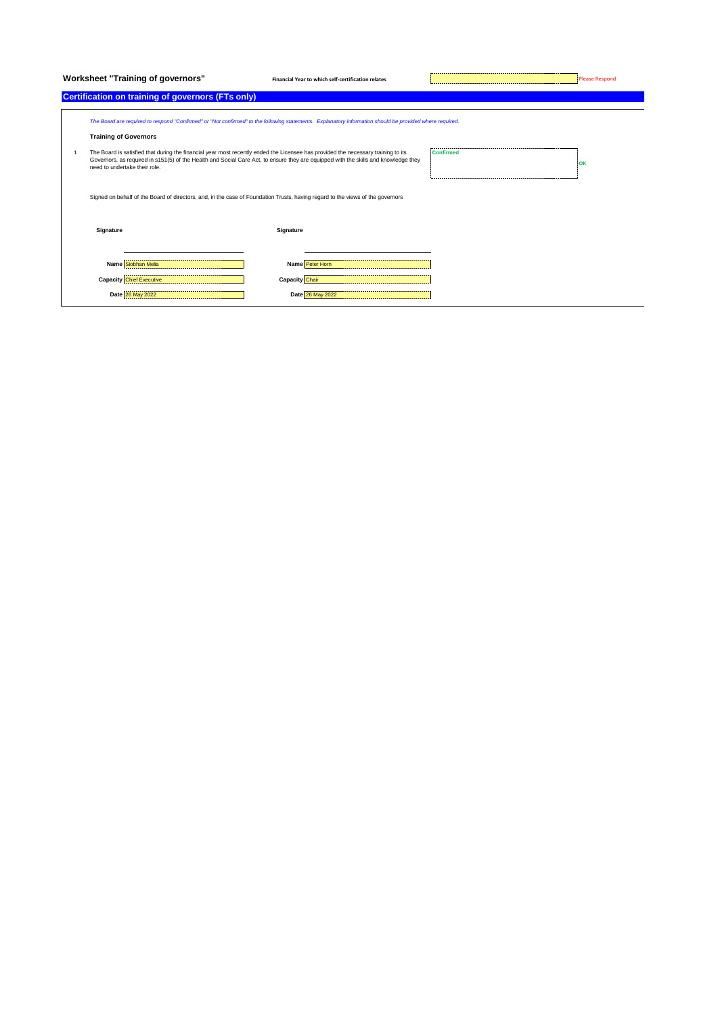Worksheet "Training of governors" **Financial Year to which self-certification relates** Please Respond Please Respond

## **Certification on training of governors (FTs only)**

|   | The Board are required to respond "Confirmed" or "Not confirmed" to the following statements. Explanatory information should be provided where required.<br><b>Training of Governors</b>                                                                                                                  |                       |    |  |  |  |
|---|-----------------------------------------------------------------------------------------------------------------------------------------------------------------------------------------------------------------------------------------------------------------------------------------------------------|-----------------------|----|--|--|--|
| 1 | The Board is satisfied that during the financial year most recently ended the Licensee has provided the necessary training to its<br>Governors, as required in s151(5) of the Health and Social Care Act, to ensure they are equipped with the skills and knowledge they<br>need to undertake their role. | <b>Confirmed</b>      | юк |  |  |  |
|   | Signed on behalf of the Board of directors, and, in the case of Foundation Trusts, having regard to the views of the governors                                                                                                                                                                            |                       |    |  |  |  |
|   | Signature                                                                                                                                                                                                                                                                                                 | Signature             |    |  |  |  |
|   | Name Siobhan Melia                                                                                                                                                                                                                                                                                        | Name Peter Horn       |    |  |  |  |
|   | <b>Capacity Chief Executive</b>                                                                                                                                                                                                                                                                           | <b>Capacity</b> Chair |    |  |  |  |

**Date** 26 May 2022 **Date** 26 May 2022